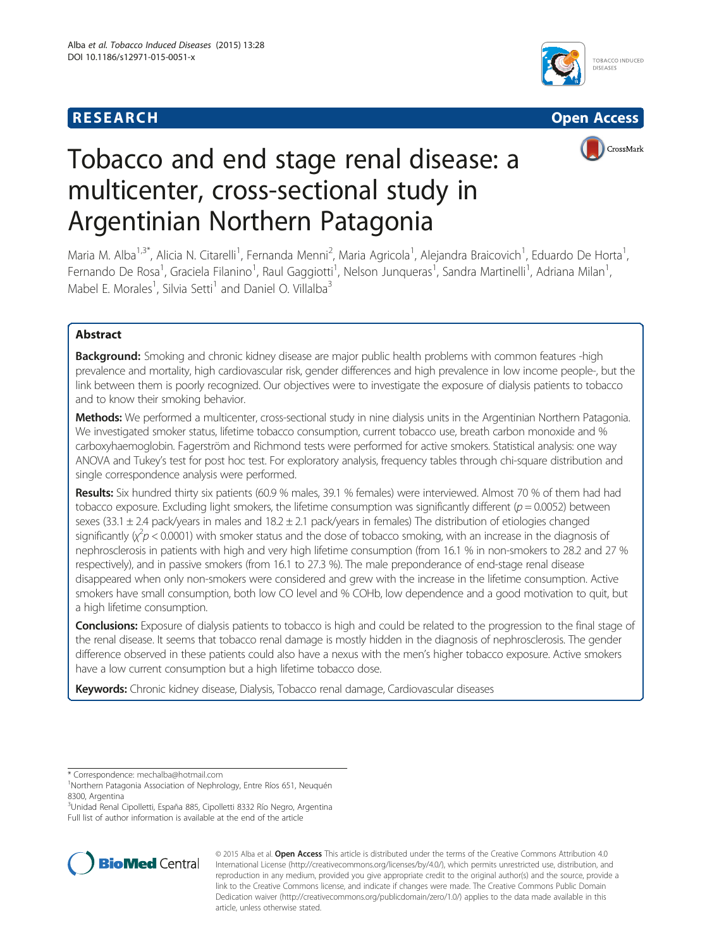# **RESEARCH CHEAR CHEAR CHEAR CHEAR CHEAR CHEAR CHEAR CHEAR CHEAR CHEAR CHEAR CHEAR CHEAR CHEAR CHEAR CHEAR CHEAR**







# Tobacco and end stage renal disease: a multicenter, cross-sectional study in Argentinian Northern Patagonia

Maria M. Alba<sup>1,3\*</sup>, Alicia N. Citarelli<sup>1</sup>, Fernanda Menni<sup>2</sup>, Maria Agricola<sup>1</sup>, Alejandra Braicovich<sup>1</sup>, Eduardo De Horta<sup>1</sup> , Fernando De Rosa<sup>1</sup>, Graciela Filanino<sup>1</sup>, Raul Gaggiotti<sup>1</sup>, Nelson Junqueras<sup>1</sup>, Sandra Martinelli<sup>1</sup>, Adriana Milan<sup>1</sup> , Mabel E. Morales<sup>1</sup>, Silvia Setti<sup>1</sup> and Daniel O. Villalba<sup>3</sup>

# Abstract

**Background:** Smoking and chronic kidney disease are major public health problems with common features -high prevalence and mortality, high cardiovascular risk, gender differences and high prevalence in low income people-, but the link between them is poorly recognized. Our objectives were to investigate the exposure of dialysis patients to tobacco and to know their smoking behavior.

Methods: We performed a multicenter, cross-sectional study in nine dialysis units in the Argentinian Northern Patagonia. We investigated smoker status, lifetime tobacco consumption, current tobacco use, breath carbon monoxide and % carboxyhaemoglobin. Fagerström and Richmond tests were performed for active smokers. Statistical analysis: one way ANOVA and Tukey's test for post hoc test. For exploratory analysis, frequency tables through chi-square distribution and single correspondence analysis were performed.

Results: Six hundred thirty six patients (60.9 % males, 39.1 % females) were interviewed. Almost 70 % of them had had tobacco exposure. Excluding light smokers, the lifetime consumption was significantly different ( $p = 0.0052$ ) between sexes (33.1  $\pm$  2.4 pack/years in males and 18.2  $\pm$  2.1 pack/years in females) The distribution of etiologies changed significantly ( $\chi^2 p$  < 0.0001) with smoker status and the dose of tobacco smoking, with an increase in the diagnosis of nephrosclerosis in patients with high and very high lifetime consumption (from 16.1 % in non-smokers to 28.2 and 27 % respectively), and in passive smokers (from 16.1 to 27.3 %). The male preponderance of end-stage renal disease disappeared when only non-smokers were considered and grew with the increase in the lifetime consumption. Active smokers have small consumption, both low CO level and % COHb, low dependence and a good motivation to quit, but a high lifetime consumption.

Conclusions: Exposure of dialysis patients to tobacco is high and could be related to the progression to the final stage of the renal disease. It seems that tobacco renal damage is mostly hidden in the diagnosis of nephrosclerosis. The gender difference observed in these patients could also have a nexus with the men's higher tobacco exposure. Active smokers have a low current consumption but a high lifetime tobacco dose.

Keywords: Chronic kidney disease, Dialysis, Tobacco renal damage, Cardiovascular diseases

\* Correspondence: [mechalba@hotmail.com](mailto:mechalba@hotmail.com) <sup>1</sup>

3 Unidad Renal Cipolletti, España 885, Cipolletti 8332 Río Negro, Argentina Full list of author information is available at the end of the article



© 2015 Alba et al. Open Access This article is distributed under the terms of the Creative Commons Attribution 4.0 International License [\(http://creativecommons.org/licenses/by/4.0/\)](http://creativecommons.org/licenses/by/4.0/), which permits unrestricted use, distribution, and reproduction in any medium, provided you give appropriate credit to the original author(s) and the source, provide a link to the Creative Commons license, and indicate if changes were made. The Creative Commons Public Domain Dedication waiver ([http://creativecommons.org/publicdomain/zero/1.0/\)](http://creativecommons.org/publicdomain/zero/1.0/) applies to the data made available in this article, unless otherwise stated.

<sup>&</sup>lt;sup>1</sup>Northern Patagonia Association of Nephrology, Entre Ríos 651, Neuquén 8300, Argentina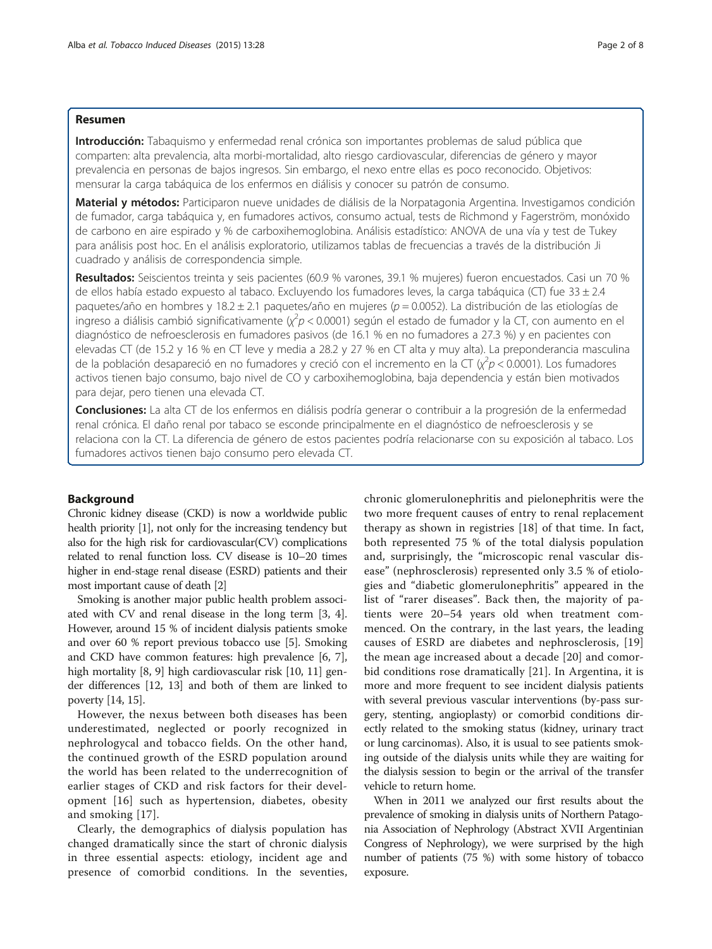# Resumen

Introducción: Tabaquismo y enfermedad renal crónica son importantes problemas de salud pública que comparten: alta prevalencia, alta morbi-mortalidad, alto riesgo cardiovascular, diferencias de género y mayor prevalencia en personas de bajos ingresos. Sin embargo, el nexo entre ellas es poco reconocido. Objetivos: mensurar la carga tabáquica de los enfermos en diálisis y conocer su patrón de consumo.

Material y métodos: Participaron nueve unidades de diálisis de la Norpatagonia Argentina. Investigamos condición de fumador, carga tabáquica y, en fumadores activos, consumo actual, tests de Richmond y Fagerström, monóxido de carbono en aire espirado y % de carboxihemoglobina. Análisis estadístico: ANOVA de una vía y test de Tukey para análisis post hoc. En el análisis exploratorio, utilizamos tablas de frecuencias a través de la distribución Ji cuadrado y análisis de correspondencia simple.

Resultados: Seiscientos treinta y seis pacientes (60.9 % varones, 39.1 % mujeres) fueron encuestados. Casi un 70 % de ellos había estado expuesto al tabaco. Excluyendo los fumadores leves, la carga tabáquica (CT) fue 33 ± 2.4 paquetes/año en hombres y 18.2 ± 2.1 paquetes/año en mujeres ( $p = 0.0052$ ). La distribución de las etiologías de ingreso a diálisis cambió significativamente ( $\chi^2 p$  < 0.0001) según el estado de fumador y la CT, con aumento en el diagnóstico de nefroesclerosis en fumadores pasivos (de 16.1 % en no fumadores a 27.3 %) y en pacientes con elevadas CT (de 15.2 y 16 % en CT leve y media a 28.2 y 27 % en CT alta y muy alta). La preponderancia masculina de la población desapareció en no fumadores y creció con el incremento en la CT ( $\chi^2 p$  < 0.0001). Los fumadores activos tienen bajo consumo, bajo nivel de CO y carboxihemoglobina, baja dependencia y están bien motivados para dejar, pero tienen una elevada CT.

Conclusiones: La alta CT de los enfermos en diálisis podría generar o contribuir a la progresión de la enfermedad renal crónica. El daño renal por tabaco se esconde principalmente en el diagnóstico de nefroesclerosis y se relaciona con la CT. La diferencia de género de estos pacientes podría relacionarse con su exposición al tabaco. Los fumadores activos tienen bajo consumo pero elevada CT.

# **Background**

Chronic kidney disease (CKD) is now a worldwide public health priority [[1](#page-6-0)], not only for the increasing tendency but also for the high risk for cardiovascular(CV) complications related to renal function loss. CV disease is 10–20 times higher in end-stage renal disease (ESRD) patients and their most important cause of death [\[2\]](#page-6-0)

Smoking is another major public health problem associated with CV and renal disease in the long term [\[3](#page-6-0), [4](#page-6-0)]. However, around 15 % of incident dialysis patients smoke and over 60 % report previous tobacco use [\[5](#page-6-0)]. Smoking and CKD have common features: high prevalence [[6, 7](#page-6-0)], high mortality [[8, 9\]](#page-6-0) high cardiovascular risk [\[10, 11\]](#page-6-0) gender differences [[12](#page-6-0), [13](#page-6-0)] and both of them are linked to poverty [\[14, 15](#page-6-0)].

However, the nexus between both diseases has been underestimated, neglected or poorly recognized in nephrologycal and tobacco fields. On the other hand, the continued growth of the ESRD population around the world has been related to the underrecognition of earlier stages of CKD and risk factors for their development [[16](#page-6-0)] such as hypertension, diabetes, obesity and smoking [[17\]](#page-6-0).

Clearly, the demographics of dialysis population has changed dramatically since the start of chronic dialysis in three essential aspects: etiology, incident age and presence of comorbid conditions. In the seventies,

chronic glomerulonephritis and pielonephritis were the two more frequent causes of entry to renal replacement therapy as shown in registries [[18](#page-6-0)] of that time. In fact, both represented 75 % of the total dialysis population and, surprisingly, the "microscopic renal vascular disease" (nephrosclerosis) represented only 3.5 % of etiologies and "diabetic glomerulonephritis" appeared in the list of "rarer diseases". Back then, the majority of patients were 20–54 years old when treatment commenced. On the contrary, in the last years, the leading causes of ESRD are diabetes and nephrosclerosis, [\[19](#page-6-0)] the mean age increased about a decade [[20](#page-6-0)] and comorbid conditions rose dramatically [\[21\]](#page-6-0). In Argentina, it is more and more frequent to see incident dialysis patients with several previous vascular interventions (by-pass surgery, stenting, angioplasty) or comorbid conditions directly related to the smoking status (kidney, urinary tract or lung carcinomas). Also, it is usual to see patients smoking outside of the dialysis units while they are waiting for the dialysis session to begin or the arrival of the transfer vehicle to return home.

When in 2011 we analyzed our first results about the prevalence of smoking in dialysis units of Northern Patagonia Association of Nephrology (Abstract XVII Argentinian Congress of Nephrology), we were surprised by the high number of patients (75 %) with some history of tobacco exposure.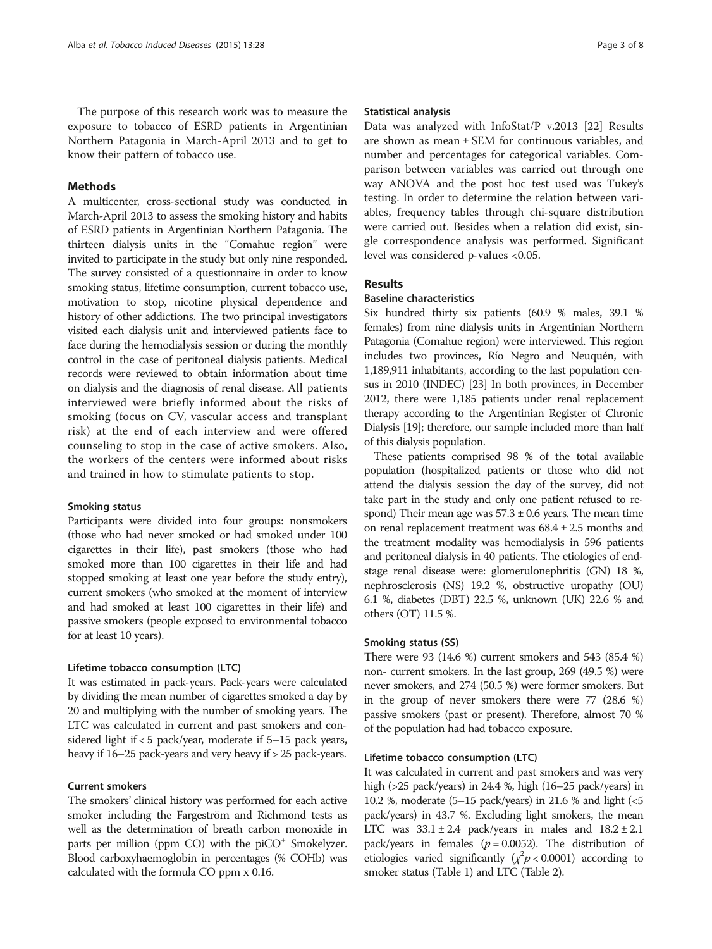The purpose of this research work was to measure the exposure to tobacco of ESRD patients in Argentinian Northern Patagonia in March-April 2013 and to get to know their pattern of tobacco use.

# Methods

A multicenter, cross-sectional study was conducted in March-April 2013 to assess the smoking history and habits of ESRD patients in Argentinian Northern Patagonia. The thirteen dialysis units in the "Comahue region" were invited to participate in the study but only nine responded. The survey consisted of a questionnaire in order to know smoking status, lifetime consumption, current tobacco use, motivation to stop, nicotine physical dependence and history of other addictions. The two principal investigators visited each dialysis unit and interviewed patients face to face during the hemodialysis session or during the monthly control in the case of peritoneal dialysis patients. Medical records were reviewed to obtain information about time on dialysis and the diagnosis of renal disease. All patients interviewed were briefly informed about the risks of smoking (focus on CV, vascular access and transplant risk) at the end of each interview and were offered counseling to stop in the case of active smokers. Also, the workers of the centers were informed about risks and trained in how to stimulate patients to stop.

#### Smoking status

Participants were divided into four groups: nonsmokers (those who had never smoked or had smoked under 100 cigarettes in their life), past smokers (those who had smoked more than 100 cigarettes in their life and had stopped smoking at least one year before the study entry), current smokers (who smoked at the moment of interview and had smoked at least 100 cigarettes in their life) and passive smokers (people exposed to environmental tobacco for at least 10 years).

#### Lifetime tobacco consumption (LTC)

It was estimated in pack-years. Pack-years were calculated by dividing the mean number of cigarettes smoked a day by 20 and multiplying with the number of smoking years. The LTC was calculated in current and past smokers and considered light if < 5 pack/year, moderate if 5–15 pack years, heavy if 16–25 pack-years and very heavy if > 25 pack-years.

# Current smokers

The smokers' clinical history was performed for each active smoker including the Fargeström and Richmond tests as well as the determination of breath carbon monoxide in parts per million (ppm CO) with the  $piCO^+$  Smokelyzer. Blood carboxyhaemoglobin in percentages (% COHb) was calculated with the formula CO ppm x 0.16.

#### Statistical analysis

Data was analyzed with InfoStat/P v.2013 [[22\]](#page-6-0) Results are shown as mean ± SEM for continuous variables, and number and percentages for categorical variables. Comparison between variables was carried out through one way ANOVA and the post hoc test used was Tukey's testing. In order to determine the relation between variables, frequency tables through chi-square distribution were carried out. Besides when a relation did exist, single correspondence analysis was performed. Significant level was considered p-values <0.05.

# Results

# Baseline characteristics

Six hundred thirty six patients (60.9 % males, 39.1 % females) from nine dialysis units in Argentinian Northern Patagonia (Comahue region) were interviewed. This region includes two provinces, Río Negro and Neuquén, with 1,189,911 inhabitants, according to the last population census in 2010 (INDEC) [\[23\]](#page-6-0) In both provinces, in December 2012, there were 1,185 patients under renal replacement therapy according to the Argentinian Register of Chronic Dialysis [\[19\]](#page-6-0); therefore, our sample included more than half of this dialysis population.

These patients comprised 98 % of the total available population (hospitalized patients or those who did not attend the dialysis session the day of the survey, did not take part in the study and only one patient refused to respond) Their mean age was  $57.3 \pm 0.6$  years. The mean time on renal replacement treatment was 68.4 ± 2.5 months and the treatment modality was hemodialysis in 596 patients and peritoneal dialysis in 40 patients. The etiologies of endstage renal disease were: glomerulonephritis (GN) 18 %, nephrosclerosis (NS) 19.2 %, obstructive uropathy (OU) 6.1 %, diabetes (DBT) 22.5 %, unknown (UK) 22.6 % and others (OT) 11.5 %.

#### Smoking status (SS)

There were 93 (14.6 %) current smokers and 543 (85.4 %) non- current smokers. In the last group, 269 (49.5 %) were never smokers, and 274 (50.5 %) were former smokers. But in the group of never smokers there were 77 (28.6 %) passive smokers (past or present). Therefore, almost 70 % of the population had had tobacco exposure.

# Lifetime tobacco consumption (LTC)

It was calculated in current and past smokers and was very high (>25 pack/years) in 24.4 %, high (16–25 pack/years) in 10.2 %, moderate (5–15 pack/years) in 21.6 % and light (<5 pack/years) in 43.7 %. Excluding light smokers, the mean LTC was  $33.1 \pm 2.4$  pack/years in males and  $18.2 \pm 2.1$ pack/years in females ( $p = 0.0052$ ). The distribution of etiologies varied significantly  $(\chi^2 p < 0.0001)$  according to smoker status (Table [1\)](#page-3-0) and LTC (Table [2](#page-3-0)).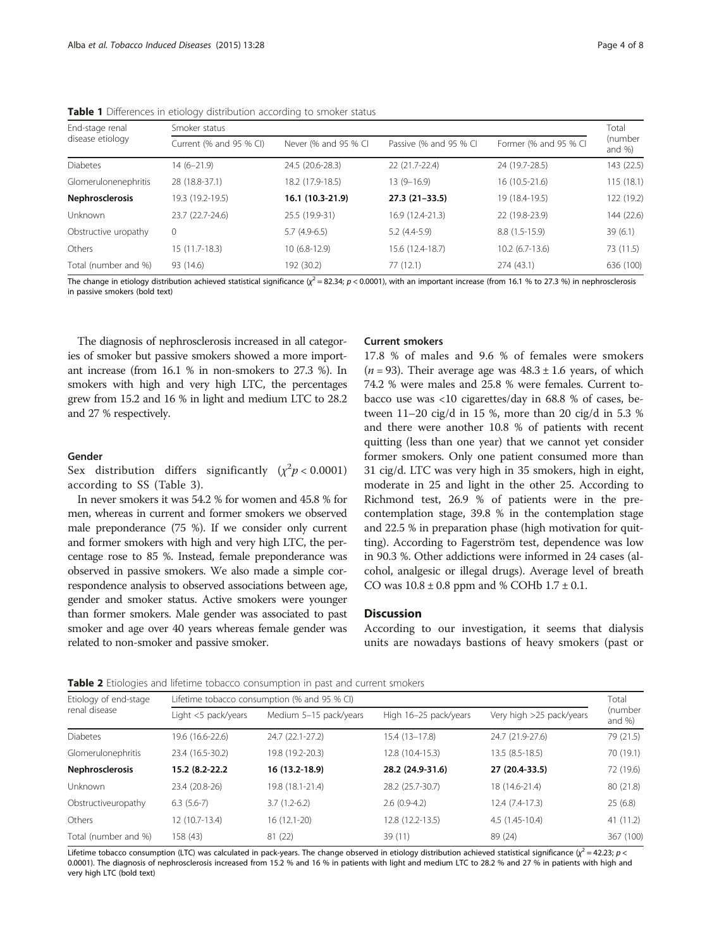| End-stage renal<br>disease etiology | Smoker status           |                      |                        |                       |                             |
|-------------------------------------|-------------------------|----------------------|------------------------|-----------------------|-----------------------------|
|                                     | Current (% and 95 % CI) | Never (% and 95 % CI | Passive (% and 95 % CI | Former (% and 95 % CI | Total<br>(number<br>and $%$ |
| <b>Diabetes</b>                     | $14(6 - 21.9)$          | 24.5 (20.6-28.3)     | 22 (21.7-22.4)         | 24 (19.7-28.5)        | 143 (22.5)                  |
| Glomerulonenephritis                | 28 (18.8-37.1)          | 18.2 (17.9-18.5)     | $13(9 - 16.9)$         | 16 (10.5-21.6)        | 115(18.1)                   |
| Nephrosclerosis                     | 19.3 (19.2-19.5)        | 16.1 (10.3-21.9)     | $27.3(21-33.5)$        | 19 (18.4-19.5)        | 122 (19.2)                  |
| Unknown                             | 23.7 (22.7-24.6)        | 25.5 (19.9-31)       | 16.9 (12.4-21.3)       | 22 (19.8-23.9)        | 144 (22.6)                  |
| Obstructive uropathy                | 0                       | $5.7(4.9-6.5)$       | $5.2(4.4-5.9)$         | $8.8(1.5-15.9)$       | 39(6.1)                     |
| Others                              | 15 (11.7-18.3)          | $10(6.8-12.9)$       | 15.6 (12.4-18.7)       | $10.2(6.7-13.6)$      | 73 (11.5)                   |
| Total (number and %)                | 93 (14.6)               | 192 (30.2)           | 77 (12.1)              | 274(43.1)             | 636 (100)                   |

<span id="page-3-0"></span>Table 1 Differences in etiology distribution according to smoker status

The change in etiology distribution achieved statistical significance ( $\chi^2$  = 82.34;  $\rho$  < 0.0001), with an important increase (from 16.1 % to 27.3 %) in nephrosclerosis in passive smokers (bold text)

The diagnosis of nephrosclerosis increased in all categories of smoker but passive smokers showed a more important increase (from 16.1 % in non-smokers to 27.3 %). In smokers with high and very high LTC, the percentages grew from 15.2 and 16 % in light and medium LTC to 28.2 and 27 % respectively.

### Gender

Sex distribution differs significantly  $(\chi^2 p < 0.0001)$ according to SS (Table [3\)](#page-4-0).

In never smokers it was 54.2 % for women and 45.8 % for men, whereas in current and former smokers we observed male preponderance (75 %). If we consider only current and former smokers with high and very high LTC, the percentage rose to 85 %. Instead, female preponderance was observed in passive smokers. We also made a simple correspondence analysis to observed associations between age, gender and smoker status. Active smokers were younger than former smokers. Male gender was associated to past smoker and age over 40 years whereas female gender was related to non-smoker and passive smoker.

#### Current smokers

17.8 % of males and 9.6 % of females were smokers  $(n = 93)$ . Their average age was  $48.3 \pm 1.6$  years, of which 74.2 % were males and 25.8 % were females. Current tobacco use was <10 cigarettes/day in 68.8 % of cases, between 11–20 cig/d in 15 %, more than 20 cig/d in 5.3 % and there were another 10.8 % of patients with recent quitting (less than one year) that we cannot yet consider former smokers. Only one patient consumed more than 31 cig/d. LTC was very high in 35 smokers, high in eight, moderate in 25 and light in the other 25. According to Richmond test, 26.9 % of patients were in the precontemplation stage, 39.8 % in the contemplation stage and 22.5 % in preparation phase (high motivation for quitting). According to Fagerström test, dependence was low in 90.3 %. Other addictions were informed in 24 cases (alcohol, analgesic or illegal drugs). Average level of breath CO was  $10.8 \pm 0.8$  ppm and % COHb  $1.7 \pm 0.1$ .

# **Discussion**

According to our investigation, it seems that dialysis units are nowadays bastions of heavy smokers (past or

**Table 2** Etiologies and lifetime tobacco consumption in past and current smokers

| <b>TWATE</b> ENDIDYCE MINIMIZING NODRECO CONSUMPTION IN PROVISING CONCINENTS |                                              |                        |                       |                          |                    |  |  |
|------------------------------------------------------------------------------|----------------------------------------------|------------------------|-----------------------|--------------------------|--------------------|--|--|
| Etiology of end-stage<br>renal disease                                       | Lifetime tobacco consumption (% and 95 % CI) |                        |                       |                          |                    |  |  |
|                                                                              | Light <5 pack/years                          | Medium 5-15 pack/years | High 16-25 pack/years | Very high >25 pack/years | (number<br>and $%$ |  |  |
| <b>Diabetes</b>                                                              | 19.6 (16.6-22.6)                             | 24.7 (22.1-27.2)       | 15.4 (13-17.8)        | 24.7 (21.9-27.6)         | 79 (21.5)          |  |  |
| Glomerulonephritis                                                           | 23.4 (16.5-30.2)                             | 19.8 (19.2-20.3)       | 12.8 (10.4-15.3)      | 13.5 (8.5-18.5)          | 70 (19.1)          |  |  |
| <b>Nephrosclerosis</b>                                                       | 15.2 (8.2-22.2)                              | 16 (13.2-18.9)         | 28.2 (24.9-31.6)      | 27 (20.4-33.5)           | 72 (19.6)          |  |  |
| Unknown                                                                      | 23.4 (20.8-26)                               | 19.8 (18.1-21.4)       | 28.2 (25.7-30.7)      | 18 (14.6-21.4)           | 80 (21.8)          |  |  |
| Obstructiveuropathy                                                          | $6.3(5.6-7)$                                 | $3.7(1.2-6.2)$         | $2.6(0.9-4.2)$        | 12.4 (7.4-17.3)          | 25(6.8)            |  |  |
| Others                                                                       | 12 (10.7-13.4)                               | $16(12.1-20)$          | 12.8 (12.2-13.5)      | $4.5(1.45-10.4)$         | 41 (11.2)          |  |  |
| Total (number and %)                                                         | 158 (43)                                     | 81 (22)                | 39 (11)               | 89 (24)                  | 367 (100)          |  |  |

Lifetime tobacco consumption (LTC) was calculated in pack-years. The change observed in etiology distribution achieved statistical significance (χ<sup>2</sup> = 42.23; *p* < 0.0001). The diagnosis of nephrosclerosis increased from 15.2 % and 16 % in patients with light and medium LTC to 28.2 % and 27 % in patients with high and very high LTC (bold text)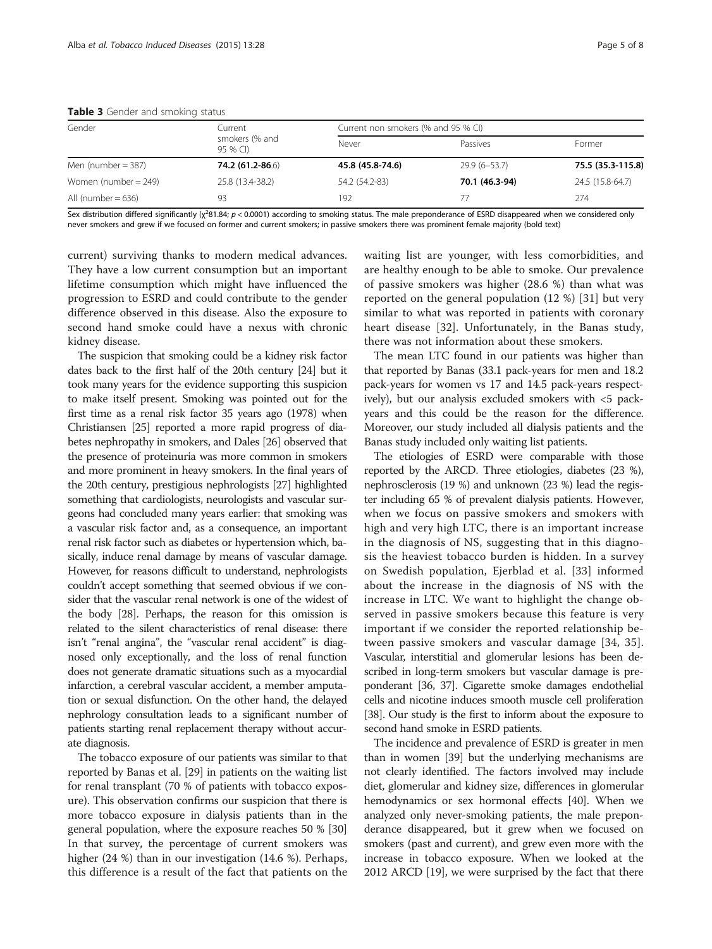| Current          | Current non smokers (% and 95 % CI) |                  |                   |  |
|------------------|-------------------------------------|------------------|-------------------|--|
| 95 % CI)         | Never                               | Passives         | Former            |  |
| 74.2 (61.2-86.6) | 45.8 (45.8-74.6)                    | $29.9(6 - 53.7)$ | 75.5 (35.3-115.8) |  |
| 25.8 (13.4-38.2) | 54.2 (54.2-83)                      | 70.1 (46.3-94)   | 24.5 (15.8-64.7)  |  |
| 93               | 192                                 |                  | 274               |  |
|                  | smokers (% and                      |                  |                   |  |

<span id="page-4-0"></span>Table 3 Gender and smoking status

Sex distribution differed significantly ( $\chi^2$ 81.84;  $p < 0.0001$ ) according to smoking status. The male preponderance of ESRD disappeared when we considered only never smokers and grew if we focused on former and current smokers; in passive smokers there was prominent female majority (bold text)

current) surviving thanks to modern medical advances. They have a low current consumption but an important lifetime consumption which might have influenced the progression to ESRD and could contribute to the gender difference observed in this disease. Also the exposure to second hand smoke could have a nexus with chronic kidney disease.

The suspicion that smoking could be a kidney risk factor dates back to the first half of the 20th century [\[24](#page-6-0)] but it took many years for the evidence supporting this suspicion to make itself present. Smoking was pointed out for the first time as a renal risk factor 35 years ago (1978) when Christiansen [\[25](#page-6-0)] reported a more rapid progress of diabetes nephropathy in smokers, and Dales [[26\]](#page-6-0) observed that the presence of proteinuria was more common in smokers and more prominent in heavy smokers. In the final years of the 20th century, prestigious nephrologists [\[27\]](#page-6-0) highlighted something that cardiologists, neurologists and vascular surgeons had concluded many years earlier: that smoking was a vascular risk factor and, as a consequence, an important renal risk factor such as diabetes or hypertension which, basically, induce renal damage by means of vascular damage. However, for reasons difficult to understand, nephrologists couldn't accept something that seemed obvious if we consider that the vascular renal network is one of the widest of the body [[28](#page-6-0)]. Perhaps, the reason for this omission is related to the silent characteristics of renal disease: there isn't "renal angina", the "vascular renal accident" is diagnosed only exceptionally, and the loss of renal function does not generate dramatic situations such as a myocardial infarction, a cerebral vascular accident, a member amputation or sexual disfunction. On the other hand, the delayed nephrology consultation leads to a significant number of patients starting renal replacement therapy without accurate diagnosis.

The tobacco exposure of our patients was similar to that reported by Banas et al. [\[29](#page-6-0)] in patients on the waiting list for renal transplant (70 % of patients with tobacco exposure). This observation confirms our suspicion that there is more tobacco exposure in dialysis patients than in the general population, where the exposure reaches 50 % [[30](#page-6-0)] In that survey, the percentage of current smokers was higher (24 %) than in our investigation (14.6 %). Perhaps, this difference is a result of the fact that patients on the waiting list are younger, with less comorbidities, and are healthy enough to be able to smoke. Our prevalence of passive smokers was higher (28.6 %) than what was reported on the general population (12 %) [[31\]](#page-6-0) but very similar to what was reported in patients with coronary heart disease [\[32](#page-6-0)]. Unfortunately, in the Banas study, there was not information about these smokers.

The mean LTC found in our patients was higher than that reported by Banas (33.1 pack-years for men and 18.2 pack-years for women vs 17 and 14.5 pack-years respectively), but our analysis excluded smokers with <5 packyears and this could be the reason for the difference. Moreover, our study included all dialysis patients and the Banas study included only waiting list patients.

The etiologies of ESRD were comparable with those reported by the ARCD. Three etiologies, diabetes (23 %), nephrosclerosis (19 %) and unknown (23 %) lead the register including 65 % of prevalent dialysis patients. However, when we focus on passive smokers and smokers with high and very high LTC, there is an important increase in the diagnosis of NS, suggesting that in this diagnosis the heaviest tobacco burden is hidden. In a survey on Swedish population, Ejerblad et al. [[33\]](#page-6-0) informed about the increase in the diagnosis of NS with the increase in LTC. We want to highlight the change observed in passive smokers because this feature is very important if we consider the reported relationship between passive smokers and vascular damage [[34](#page-6-0), [35](#page-6-0)]. Vascular, interstitial and glomerular lesions has been described in long-term smokers but vascular damage is preponderant [[36](#page-6-0), [37\]](#page-6-0). Cigarette smoke damages endothelial cells and nicotine induces smooth muscle cell proliferation [[38](#page-6-0)]. Our study is the first to inform about the exposure to second hand smoke in ESRD patients.

The incidence and prevalence of ESRD is greater in men than in women [\[39\]](#page-6-0) but the underlying mechanisms are not clearly identified. The factors involved may include diet, glomerular and kidney size, differences in glomerular hemodynamics or sex hormonal effects [\[40\]](#page-6-0). When we analyzed only never-smoking patients, the male preponderance disappeared, but it grew when we focused on smokers (past and current), and grew even more with the increase in tobacco exposure. When we looked at the 2012 ARCD [[19](#page-6-0)], we were surprised by the fact that there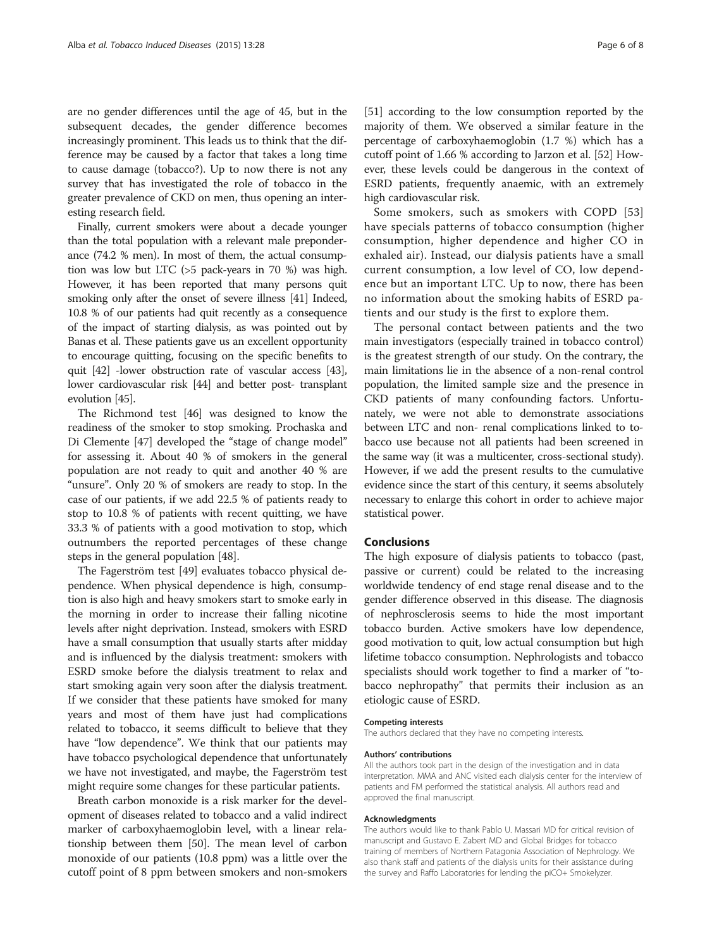are no gender differences until the age of 45, but in the subsequent decades, the gender difference becomes increasingly prominent. This leads us to think that the difference may be caused by a factor that takes a long time to cause damage (tobacco?). Up to now there is not any survey that has investigated the role of tobacco in the greater prevalence of CKD on men, thus opening an interesting research field.

Finally, current smokers were about a decade younger than the total population with a relevant male preponderance (74.2 % men). In most of them, the actual consumption was low but LTC (>5 pack-years in 70 %) was high. However, it has been reported that many persons quit smoking only after the onset of severe illness [[41\]](#page-6-0) Indeed, 10.8 % of our patients had quit recently as a consequence of the impact of starting dialysis, as was pointed out by Banas et al. These patients gave us an excellent opportunity to encourage quitting, focusing on the specific benefits to quit [[42](#page-6-0)] -lower obstruction rate of vascular access [\[43](#page-6-0)], lower cardiovascular risk [\[44\]](#page-6-0) and better post- transplant evolution [\[45](#page-6-0)].

The Richmond test [[46](#page-6-0)] was designed to know the readiness of the smoker to stop smoking. Prochaska and Di Clemente [\[47\]](#page-6-0) developed the "stage of change model" for assessing it. About 40 % of smokers in the general population are not ready to quit and another 40 % are "unsure". Only 20 % of smokers are ready to stop. In the case of our patients, if we add 22.5 % of patients ready to stop to 10.8 % of patients with recent quitting, we have 33.3 % of patients with a good motivation to stop, which outnumbers the reported percentages of these change steps in the general population [\[48](#page-6-0)].

The Fagerström test [[49](#page-6-0)] evaluates tobacco physical dependence. When physical dependence is high, consumption is also high and heavy smokers start to smoke early in the morning in order to increase their falling nicotine levels after night deprivation. Instead, smokers with ESRD have a small consumption that usually starts after midday and is influenced by the dialysis treatment: smokers with ESRD smoke before the dialysis treatment to relax and start smoking again very soon after the dialysis treatment. If we consider that these patients have smoked for many years and most of them have just had complications related to tobacco, it seems difficult to believe that they have "low dependence". We think that our patients may have tobacco psychological dependence that unfortunately we have not investigated, and maybe, the Fagerström test might require some changes for these particular patients.

Breath carbon monoxide is a risk marker for the development of diseases related to tobacco and a valid indirect marker of carboxyhaemoglobin level, with a linear relationship between them [\[50](#page-6-0)]. The mean level of carbon monoxide of our patients (10.8 ppm) was a little over the cutoff point of 8 ppm between smokers and non-smokers

[[51](#page-7-0)] according to the low consumption reported by the majority of them. We observed a similar feature in the percentage of carboxyhaemoglobin (1.7 %) which has a cutoff point of 1.66 % according to Jarzon et al. [\[52\]](#page-7-0) However, these levels could be dangerous in the context of ESRD patients, frequently anaemic, with an extremely high cardiovascular risk.

Some smokers, such as smokers with COPD [\[53](#page-7-0)] have specials patterns of tobacco consumption (higher consumption, higher dependence and higher CO in exhaled air). Instead, our dialysis patients have a small current consumption, a low level of CO, low dependence but an important LTC. Up to now, there has been no information about the smoking habits of ESRD patients and our study is the first to explore them.

The personal contact between patients and the two main investigators (especially trained in tobacco control) is the greatest strength of our study. On the contrary, the main limitations lie in the absence of a non-renal control population, the limited sample size and the presence in CKD patients of many confounding factors. Unfortunately, we were not able to demonstrate associations between LTC and non- renal complications linked to tobacco use because not all patients had been screened in the same way (it was a multicenter, cross-sectional study). However, if we add the present results to the cumulative evidence since the start of this century, it seems absolutely necessary to enlarge this cohort in order to achieve major statistical power.

# Conclusions

The high exposure of dialysis patients to tobacco (past, passive or current) could be related to the increasing worldwide tendency of end stage renal disease and to the gender difference observed in this disease. The diagnosis of nephrosclerosis seems to hide the most important tobacco burden. Active smokers have low dependence, good motivation to quit, low actual consumption but high lifetime tobacco consumption. Nephrologists and tobacco specialists should work together to find a marker of "tobacco nephropathy" that permits their inclusion as an etiologic cause of ESRD.

#### Competing interests

The authors declared that they have no competing interests.

#### Authors' contributions

All the authors took part in the design of the investigation and in data interpretation. MMA and ANC visited each dialysis center for the interview of patients and FM performed the statistical analysis. All authors read and approved the final manuscript.

#### Acknowledgments

The authors would like to thank Pablo U. Massari MD for critical revision of manuscript and Gustavo E. Zabert MD and Global Bridges for tobacco training of members of Northern Patagonia Association of Nephrology. We also thank staff and patients of the dialysis units for their assistance during the survey and Raffo Laboratories for lending the piCO+ Smokelyzer.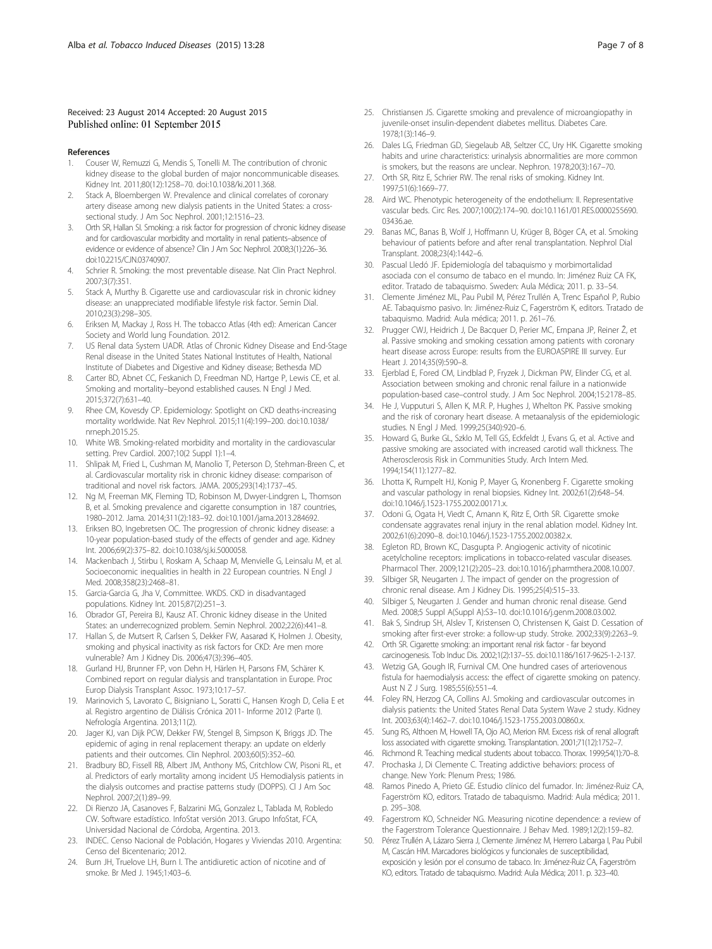#### <span id="page-6-0"></span>Received: 23 August 2014 Accepted: 20 August 2015 Published online: 01 September 2015

- References
- 1. Couser W, Remuzzi G, Mendis S, Tonelli M. The contribution of chronic kidney disease to the global burden of major noncommunicable diseases. Kidney Int. 2011;80(12):1258–70. doi:[10.1038/ki.2011.368.](http://dx.doi.org/10.1038/ki.2011.368)
- Stack A, Bloembergen W. Prevalence and clinical correlates of coronary artery disease among new dialysis patients in the United States: a crosssectional study. J Am Soc Nephrol. 2001;12:1516–23.
- Orth SR, Hallan SI. Smoking: a risk factor for progression of chronic kidney disease and for cardiovascular morbidity and mortality in renal patients–absence of evidence or evidence of absence? Clin J Am Soc Nephrol. 2008;3(1):226–36. doi[:10.2215/CJN.03740907](http://dx.doi.org/10.2215/CJN.03740907).
- 4. Schrier R. Smoking: the most preventable disease. Nat Clin Pract Nephrol. 2007;3(7):351.
- 5. Stack A, Murthy B. Cigarette use and cardiovascular risk in chronic kidney disease: an unappreciated modifiable lifestyle risk factor. Semin Dial. 2010;23(3):298–305.
- 6. Eriksen M, Mackay J, Ross H. The tobacco Atlas (4th ed): American Cancer Society and World lung Foundation. 2012.
- 7. US Renal data System UADR. Atlas of Chronic Kidney Disease and End-Stage Renal disease in the United States National Institutes of Health, National Institute of Diabetes and Digestive and Kidney disease; Bethesda MD
- 8. Carter BD, Abnet CC, Feskanich D, Freedman ND, Hartge P, Lewis CE, et al. Smoking and mortality–beyond established causes. N Engl J Med. 2015;372(7):631–40.
- 9. Rhee CM, Kovesdy CP. Epidemiology: Spotlight on CKD deaths-increasing mortality worldwide. Nat Rev Nephrol. 2015;11(4):199–200. doi:[10.1038/](http://dx.doi.org/10.1038/nrneph.2015.25) [nrneph.2015.25](http://dx.doi.org/10.1038/nrneph.2015.25).
- 10. White WB. Smoking-related morbidity and mortality in the cardiovascular setting. Prev Cardiol. 2007;10(2 Suppl 1):1–4.
- 11. Shlipak M, Fried L, Cushman M, Manolio T, Peterson D, Stehman-Breen C, et al. Cardiovascular mortality risk in chronic kidney disease: comparison of traditional and novel risk factors. JAMA. 2005;293(14):1737–45.
- 12. Ng M, Freeman MK, Fleming TD, Robinson M, Dwyer-Lindgren L, Thomson B, et al. Smoking prevalence and cigarette consumption in 187 countries, 1980–2012. Jama. 2014;311(2):183–92. doi[:10.1001/jama.2013.284692.](http://dx.doi.org/10.1001/jama.2013.284692)
- 13. Eriksen BO, Ingebretsen OC. The progression of chronic kidney disease: a 10-year population-based study of the effects of gender and age. Kidney Int. 2006;69(2):375–82. doi:[10.1038/sj.ki.5000058.](http://dx.doi.org/10.1038/sj.ki.5000058)
- 14. Mackenbach J, Stirbu I, Roskam A, Schaap M, Menvielle G, Leinsalu M, et al. Socioeconomic inequalities in health in 22 European countries. N Engl J Med. 2008;358(23):2468–81.
- 15. Garcia-Garcia G, Jha V, Committee. WKDS. CKD in disadvantaged populations. Kidney Int. 2015;87(2):251–3.
- 16. Obrador GT, Pereira BJ, Kausz AT. Chronic kidney disease in the United States: an underrecognized problem. Semin Nephrol. 2002;22(6):441–8.
- 17. Hallan S, de Mutsert R, Carlsen S, Dekker FW, Aasarød K, Holmen J. Obesity, smoking and physical inactivity as risk factors for CKD: Are men more vulnerable? Am J Kidney Dis. 2006;47(3):396–405.
- 18. Gurland HJ, Brunner FP, von Dehn H, Härlen H, Parsons FM, Schärer K. Combined report on regular dialysis and transplantation in Europe. Proc Europ Dialysis Transplant Assoc. 1973;10:17–57.
- 19. Marinovich S, Lavorato C, Bisigniano L, Soratti C, Hansen Krogh D, Celia E et al. Registro argentino de Diálisis Crónica 2011- Informe 2012 (Parte I). Nefrología Argentina. 2013;11(2).
- 20. Jager KJ, van Dijk PCW, Dekker FW, Stengel B, Simpson K, Briggs JD. The epidemic of aging in renal replacement therapy: an update on elderly patients and their outcomes. Clin Nephrol. 2003;60(5):352–60.
- 21. Bradbury BD, Fissell RB, Albert JM, Anthony MS, Critchlow CW, Pisoni RL, et al. Predictors of early mortality among incident US Hemodialysis patients in the dialysis outcomes and practise patterns study (DOPPS). Cl J Am Soc Nephrol. 2007;2(1):89–99.
- 22. Di Rienzo JA, Casanoves F, Balzarini MG, Gonzalez L, Tablada M, Robledo CW. Software estadístico. InfoStat versión 2013. Grupo InfoStat, FCA, Universidad Nacional de Córdoba, Argentina. 2013.
- INDEC. Censo Nacional de Población, Hogares y Viviendas 2010. Argentina: Censo del Bicentenario; 2012.
- 24. Burn JH, Truelove LH, Burn I. The antidiuretic action of nicotine and of smoke. Br Med J. 1945;1:403–6.
- 25. Christiansen JS. Cigarette smoking and prevalence of microangiopathy in juvenile-onset insulin-dependent diabetes mellitus. Diabetes Care. 1978;1(3):146–9.
- 26. Dales LG, Friedman GD, Siegelaub AB, Seltzer CC, Ury HK. Cigarette smoking habits and urine characteristics: urinalysis abnormalities are more common is smokers, but the reasons are unclear. Nephron. 1978;20(3):167–70.
- 27. Orth SR, Ritz E, Schrier RW. The renal risks of smoking. Kidney Int. 1997;51(6):1669–77.
- 28. Aird WC. Phenotypic heterogeneity of the endothelium: II. Representative vascular beds. Circ Res. 2007;100(2):174–90. doi:[10.1161/01.RES.0000255690.](http://dx.doi.org/10.1161/01.RES.0000255690.03436.ae) [03436.ae.](http://dx.doi.org/10.1161/01.RES.0000255690.03436.ae)
- 29. Banas MC, Banas B, Wolf J, Hoffmann U, Krüger B, Böger CA, et al. Smoking behaviour of patients before and after renal transplantation. Nephrol Dial Transplant. 2008;23(4):1442–6.
- 30. Pascual Lledó JF. Epidemiología del tabaquismo y morbimortalidad asociada con el consumo de tabaco en el mundo. In: Jiménez Ruiz CA FK, editor. Tratado de tabaquismo. Sweden: Aula Médica; 2011. p. 33–54.
- 31. Clemente Jiménez ML, Pau Pubil M, Pérez Trullén A, Trenc Español P, Rubio AE. Tabaquismo pasivo. In: Jiménez-Ruiz C, Fagerström K, editors. Tratado de tabaquismo. Madrid: Aula médica; 2011. p. 261–76.
- 32. Prugger CWJ, Heidrich J, De Bacquer D, Perier MC, Empana JP, Reiner Ž, et al. Passive smoking and smoking cessation among patients with coronary heart disease across Europe: results from the EUROASPIRE III survey. Eur Heart J. 2014;35(9):590–8.
- 33. Ejerblad E, Fored CM, Lindblad P, Fryzek J, Dickman PW, Elinder CG, et al. Association between smoking and chronic renal failure in a nationwide population-based case–control study. J Am Soc Nephrol. 2004;15:2178–85.
- 34. He J, Vupputuri S, Allen K, M.R. P, Hughes J, Whelton PK. Passive smoking and the risk of coronary heart disease. A metaanalysis of the epidemiologic studies. N Engl J Med. 1999;25(340):920–6.
- 35. Howard G, Burke GL, Szklo M, Tell GS, Eckfeldt J, Evans G, et al. Active and passive smoking are associated with increased carotid wall thickness. The Atherosclerosis Risk in Communities Study. Arch Intern Med. 1994;154(11):1277–82.
- 36. Lhotta K, Rumpelt HJ, Konig P, Mayer G, Kronenberg F. Cigarette smoking and vascular pathology in renal biopsies. Kidney Int. 2002;61(2):648–54. doi[:10.1046/j.1523-1755.2002.00171.x](http://dx.doi.org/10.1046/j.1523-1755.2002.00171.x).
- 37. Odoni G, Ogata H, Viedt C, Amann K, Ritz E, Orth SR. Cigarette smoke condensate aggravates renal injury in the renal ablation model. Kidney Int. 2002;61(6):2090–8. doi:[10.1046/j.1523-1755.2002.00382.x](http://dx.doi.org/10.1046/j.1523-1755.2002.00382.x).
- 38. Egleton RD, Brown KC, Dasgupta P. Angiogenic activity of nicotinic acetylcholine receptors: implications in tobacco-related vascular diseases. Pharmacol Ther. 2009;121(2):205–23. doi[:10.1016/j.pharmthera.2008.10.007.](http://dx.doi.org/10.1016/j.pharmthera.2008.10.007)
- 39. Silbiger SR, Neugarten J. The impact of gender on the progression of chronic renal disease. Am J Kidney Dis. 1995;25(4):515–33.
- 40. Silbiger S, Neugarten J. Gender and human chronic renal disease. Gend Med. 2008;5 Suppl A(Suppl A):S3–10. doi:[10.1016/j.genm.2008.03.002.](http://dx.doi.org/10.1016/j.genm.2008.03.002)
- 41. Bak S, Sindrup SH, Alslev T, Kristensen O, Christensen K, Gaist D. Cessation of smoking after first-ever stroke: a follow-up study. Stroke. 2002;33(9):2263–9.
- 42. Orth SR. Cigarette smoking: an important renal risk factor far beyond carcinogenesis. Tob Induc Dis. 2002;1(2):137–55. doi:[10.1186/1617-9625-1-2-137.](http://dx.doi.org/10.1186/1617-9625-1-2-137)
- 43. Wetzig GA, Gough IR, Furnival CM. One hundred cases of arteriovenous fistula for haemodialysis access: the effect of cigarette smoking on patency. Aust N Z J Surg. 1985;55(6):551–4.
- 44. Foley RN, Herzog CA, Collins AJ. Smoking and cardiovascular outcomes in dialysis patients: the United States Renal Data System Wave 2 study. Kidney Int. 2003;63(4):1462–7. doi:[10.1046/j.1523-1755.2003.00860.x](http://dx.doi.org/10.1046/j.1523-1755.2003.00860.x).
- 45. Sung RS, Althoen M, Howell TA, Ojo AO, Merion RM. Excess risk of renal allograft loss associated with cigarette smoking. Transplantation. 2001;71(12):1752–7.
- 46. Richmond R. Teaching medical students about tobacco. Thorax. 1999;54(1):70–8.
- 47. Prochaska J, Di Clemente C. Treating addictive behaviors: process of change. New York: Plenum Press; 1986.
- 48. Ramos Pinedo A, Prieto GE. Estudio clínico del fumador. In: Jiménez-Ruiz CA, Fagerström KO, editors. Tratado de tabaquismo. Madrid: Aula médica; 2011. p. 295–308.
- 49. Fagerstrom KO, Schneider NG. Measuring nicotine dependence: a review of the Fagerstrom Tolerance Questionnaire. J Behav Med. 1989;12(2):159–82.
- 50. Pérez Trullén A, Lázaro Sierra J, Clemente Jiménez M, Herrero Labarga I, Pau Pubil M, Cascán HM. Marcadores biológicos y funcionales de susceptibilidad, exposición y lesión por el consumo de tabaco. In: Jiménez-Ruiz CA, Fagerström KO, editors. Tratado de tabaquismo. Madrid: Aula Médica; 2011. p. 323–40.